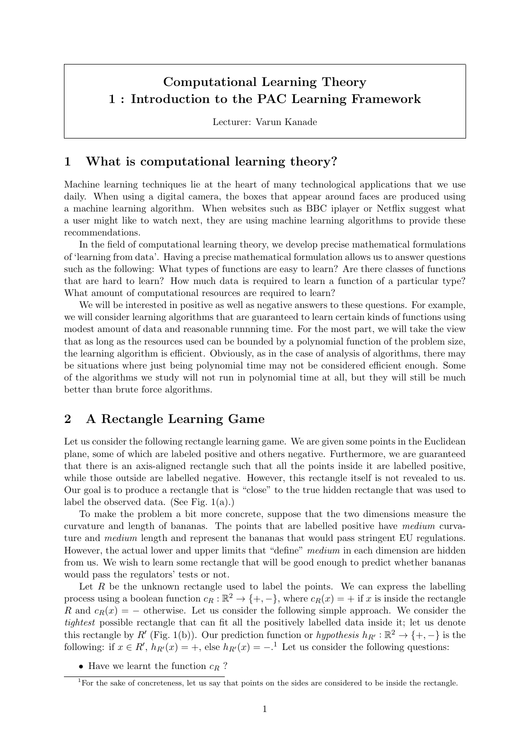# Computational Learning Theory 1 : Introduction to the PAC Learning Framework

Lecturer: Varun Kanade

# 1 What is computational learning theory?

Machine learning techniques lie at the heart of many technological applications that we use daily. When using a digital camera, the boxes that appear around faces are produced using a machine learning algorithm. When websites such as BBC iplayer or Netflix suggest what a user might like to watch next, they are using machine learning algorithms to provide these recommendations.

In the field of computational learning theory, we develop precise mathematical formulations of 'learning from data'. Having a precise mathematical formulation allows us to answer questions such as the following: What types of functions are easy to learn? Are there classes of functions that are hard to learn? How much data is required to learn a function of a particular type? What amount of computational resources are required to learn?

We will be interested in positive as well as negative answers to these questions. For example, we will consider learning algorithms that are guaranteed to learn certain kinds of functions using modest amount of data and reasonable runnning time. For the most part, we will take the view that as long as the resources used can be bounded by a polynomial function of the problem size, the learning algorithm is efficient. Obviously, as in the case of analysis of algorithms, there may be situations where just being polynomial time may not be considered efficient enough. Some of the algorithms we study will not run in polynomial time at all, but they will still be much better than brute force algorithms.

# 2 A Rectangle Learning Game

Let us consider the following rectangle learning game. We are given some points in the Euclidean plane, some of which are labeled positive and others negative. Furthermore, we are guaranteed that there is an axis-aligned rectangle such that all the points inside it are labelled positive, while those outside are labelled negative. However, this rectangle itself is not revealed to us. Our goal is to produce a rectangle that is "close" to the true hidden rectangle that was used to label the observed data. (See Fig. 1(a).)

To make the problem a bit more concrete, suppose that the two dimensions measure the curvature and length of bananas. The points that are labelled positive have medium curvature and medium length and represent the bananas that would pass stringent EU regulations. However, the actual lower and upper limits that "define" medium in each dimension are hidden from us. We wish to learn some rectangle that will be good enough to predict whether bananas would pass the regulators' tests or not.

Let  $R$  be the unknown rectangle used to label the points. We can express the labelling process using a boolean function  $c_R : \mathbb{R}^2 \to \{+, -\}$ , where  $c_R(x) = +$  if x is inside the rectangle R and  $c_R(x) = -$  otherwise. Let us consider the following simple approach. We consider the tightest possible rectangle that can fit all the positively labelled data inside it; let us denote this rectangle by R' (Fig. 1(b)). Our prediction function or hypothesis  $h_{R'} : \mathbb{R}^2 \to \{+, -\}$  is the following: if  $x \in R'$ ,  $h_{R'}(x) = +$ , else  $h_{R'}(x) = -$ .<sup>1</sup> Let us consider the following questions:

• Have we learnt the function  $c_R$ ?

<sup>&</sup>lt;sup>1</sup>For the sake of concreteness, let us say that points on the sides are considered to be inside the rectangle.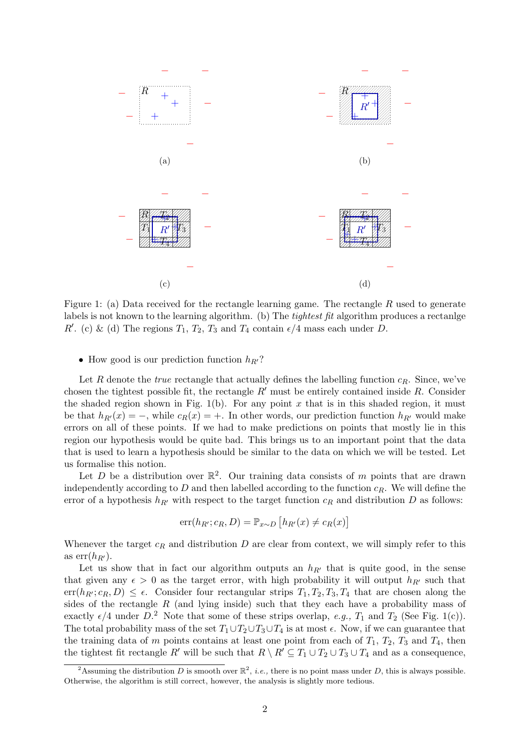

Figure 1: (a) Data received for the rectangle learning game. The rectangle R used to generate labels is not known to the learning algorithm. (b) The *tightest fit* algorithm produces a rectanlge R'. (c) & (d) The regions  $T_1, T_2, T_3$  and  $T_4$  contain  $\epsilon/4$  mass each under D.

#### • How good is our prediction function  $h_{R'}$ ?

Let R denote the *true* rectangle that actually defines the labelling function  $c_R$ . Since, we've chosen the tightest possible fit, the rectangle  $R'$  must be entirely contained inside R. Consider the shaded region shown in Fig. 1(b). For any point  $x$  that is in this shaded region, it must be that  $h_{R}(x) = -$ , while  $c_R(x) = +$ . In other words, our prediction function  $h_{R'}$  would make errors on all of these points. If we had to make predictions on points that mostly lie in this region our hypothesis would be quite bad. This brings us to an important point that the data that is used to learn a hypothesis should be similar to the data on which we will be tested. Let us formalise this notion.

Let D be a distribution over  $\mathbb{R}^2$ . Our training data consists of m points that are drawn independently according to  $D$  and then labelled according to the function  $c_R$ . We will define the error of a hypothesis  $h_{R'}$  with respect to the target function  $c_R$  and distribution D as follows:

$$
err(h_{R'}; c_R, D) = \mathbb{P}_{x \sim D} [h_{R'}(x) \neq c_R(x)]
$$

Whenever the target  $c_R$  and distribution D are clear from context, we will simply refer to this as  $err(h_{R^{\prime}})$ .

Let us show that in fact our algorithm outputs an  $h_{R'}$  that is quite good, in the sense that given any  $\epsilon > 0$  as the target error, with high probability it will output  $h_{R'}$  such that  $err(h_{R'}; c_R, D) \leq \epsilon$ . Consider four rectangular strips  $T_1, T_2, T_3, T_4$  that are chosen along the sides of the rectangle  $R$  (and lying inside) such that they each have a probability mass of exactly  $\epsilon/4$  under  $D^2$ . Note that some of these strips overlap, e.g.,  $T_1$  and  $T_2$  (See Fig. 1(c)). The total probability mass of the set  $T_1 \cup T_2 \cup T_3 \cup T_4$  is at most  $\epsilon$ . Now, if we can guarantee that the training data of m points contains at least one point from each of  $T_1$ ,  $T_2$ ,  $T_3$  and  $T_4$ , then the tightest fit rectangle R' will be such that  $R \setminus R' \subseteq T_1 \cup T_2 \cup T_3 \cup T_4$  and as a consequence,

<sup>&</sup>lt;sup>2</sup>Assuming the distribution D is smooth over  $\mathbb{R}^2$ , *i.e.*, there is no point mass under D, this is always possible. Otherwise, the algorithm is still correct, however, the analysis is slightly more tedious.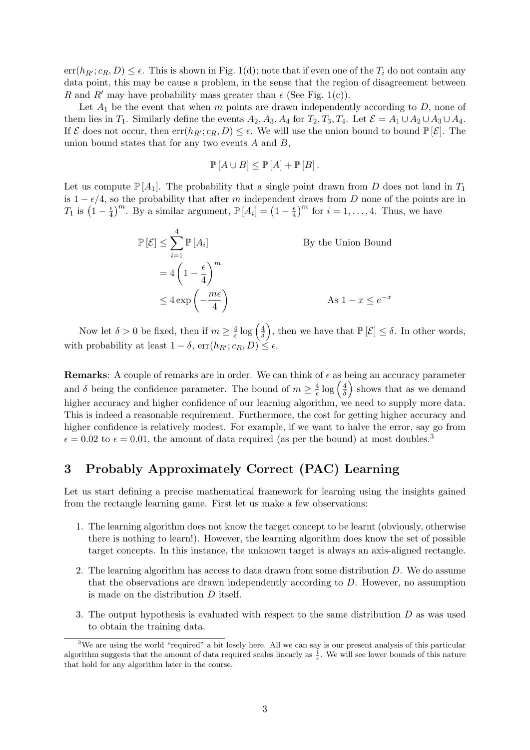$err(h_{R'}; c_R, D) \leq \epsilon$ . This is shown in Fig. 1(d); note that if even one of the  $T_i$  do not contain any data point, this may be cause a problem, in the sense that the region of disagreement between R and R' may have probability mass greater than  $\epsilon$  (See Fig. 1(c)).

Let  $A_1$  be the event that when m points are drawn independently according to D, none of them lies in  $T_1$ . Similarly define the events  $A_2$ ,  $A_3$ ,  $A_4$  for  $T_2$ ,  $T_3$ ,  $T_4$ . Let  $\mathcal{E} = A_1 \cup A_2 \cup A_3 \cup A_4$ . If  $\mathcal E$  does not occur, then  $err(h_{R'}; c_R, D) \leq \epsilon$ . We will use the union bound to bound  $\mathbb P[\mathcal E]$ . The union bound states that for any two events  $A$  and  $B$ ,

$$
\mathbb{P}[A \cup B] \le \mathbb{P}[A] + \mathbb{P}[B].
$$

Let us compute  $\mathbb{P}[A_1]$ . The probability that a single point drawn from D does not land in  $T_1$ is  $1 - \epsilon/4$ , so the probability that after m independent draws from D none of the points are in  $T_1$  is  $\left(1-\frac{\epsilon}{4}\right)$  $\frac{\epsilon}{4}$ <sup>m</sup>. By a similar argument,  $\mathbb{P}[A_i] = (1 - \frac{\epsilon}{4})$  $\left(\frac{\epsilon}{4}\right)^m$  for  $i = 1, \ldots, 4$ . Thus, we have

$$
\mathbb{P}[\mathcal{E}] \le \sum_{i=1}^{4} \mathbb{P}[A_i]
$$
  
By the Union Bound  

$$
= 4\left(1 - \frac{\epsilon}{4}\right)^m
$$

$$
\le 4 \exp\left(-\frac{m\epsilon}{4}\right)
$$
  
As  $1 - x \le e^{-x}$ 

Now let  $\delta > 0$  be fixed, then if  $m \geq \frac{4}{\epsilon}$  $\frac{4}{\epsilon} \log \left( \frac{4}{\delta} \right)$  $\left(\frac{4}{\delta}\right)$ , then we have that  $\mathbb{P}\left[\mathcal{E}\right] \leq \delta$ . In other words, with probability at least  $1 - \delta$ ,  $err(h_{R'}; c_R, D) \leq \epsilon$ .

**Remarks:** A couple of remarks are in order. We can think of  $\epsilon$  as being an accuracy parameter and  $\delta$  being the confidence parameter. The bound of  $m \geq \frac{4}{\epsilon}$  $\frac{4}{\epsilon} \log \left( \frac{4}{\delta} \right)$  $\frac{4}{\delta}$  shows that as we demand higher accuracy and higher confidence of our learning algorithm, we need to supply more data. This is indeed a reasonable requirement. Furthermore, the cost for getting higher accuracy and higher confidence is relatively modest. For example, if we want to halve the error, say go from  $\epsilon = 0.02$  to  $\epsilon = 0.01$ , the amount of data required (as per the bound) at most doubles.<sup>3</sup>

# 3 Probably Approximately Correct (PAC) Learning

Let us start defining a precise mathematical framework for learning using the insights gained from the rectangle learning game. First let us make a few observations:

- 1. The learning algorithm does not know the target concept to be learnt (obviously, otherwise there is nothing to learn!). However, the learning algorithm does know the set of possible target concepts. In this instance, the unknown target is always an axis-aligned rectangle.
- 2. The learning algorithm has access to data drawn from some distribution D. We do assume that the observations are drawn independently according to D. However, no assumption is made on the distribution D itself.
- 3. The output hypothesis is evaluated with respect to the same distribution D as was used to obtain the training data.

<sup>&</sup>lt;sup>3</sup>We are using the world "required" a bit losely here. All we can say is our present analysis of this particular algorithm suggests that the amount of data required scales linearly as  $\frac{1}{\epsilon}$ . We will see lower bounds of this nature that hold for any algorithm later in the course.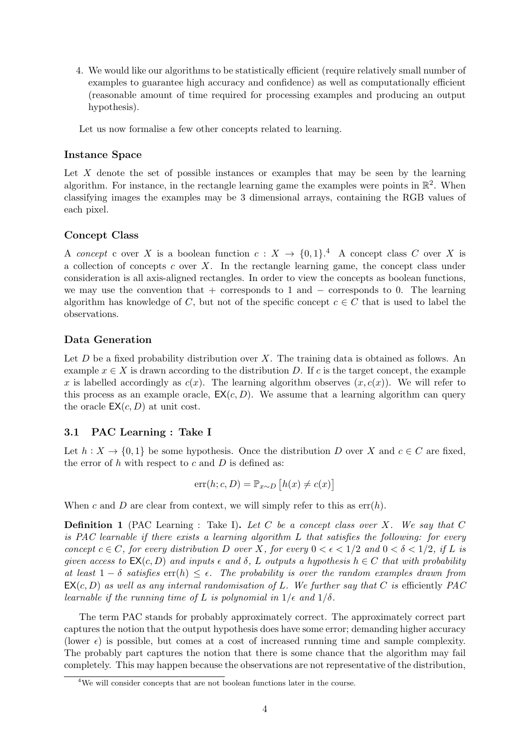4. We would like our algorithms to be statistically efficient (require relatively small number of examples to guarantee high accuracy and confidence) as well as computationally efficient (reasonable amount of time required for processing examples and producing an output hypothesis).

Let us now formalise a few other concepts related to learning.

### Instance Space

Let  $X$  denote the set of possible instances or examples that may be seen by the learning algorithm. For instance, in the rectangle learning game the examples were points in  $\mathbb{R}^2$ . When classifying images the examples may be 3 dimensional arrays, containing the RGB values of each pixel.

### Concept Class

A concept c over X is a boolean function  $c: X \to \{0,1\}^4$  A concept class C over X is a collection of concepts c over  $X$ . In the rectangle learning game, the concept class under consideration is all axis-aligned rectangles. In order to view the concepts as boolean functions, we may use the convention that + corresponds to 1 and  $-$  corresponds to 0. The learning algorithm has knowledge of C, but not of the specific concept  $c \in C$  that is used to label the observations.

### Data Generation

Let  $D$  be a fixed probability distribution over  $X$ . The training data is obtained as follows. An example  $x \in X$  is drawn according to the distribution D. If c is the target concept, the example x is labelled accordingly as  $c(x)$ . The learning algorithm observes  $(x, c(x))$ . We will refer to this process as an example oracle,  $EX(c, D)$ . We assume that a learning algorithm can query the oracle  $EX(c, D)$  at unit cost.

### 3.1 PAC Learning : Take I

Let  $h: X \to \{0,1\}$  be some hypothesis. Once the distribution D over X and  $c \in C$  are fixed, the error of  $h$  with respect to  $c$  and  $D$  is defined as:

$$
err(h; c, D) = \mathbb{P}_{x \sim D} [h(x) \neq c(x)]
$$

When c and D are clear from context, we will simply refer to this as  $err(h)$ .

**Definition 1** (PAC Learning : Take I). Let C be a concept class over X. We say that C is PAC learnable if there exists a learning algorithm L that satisfies the following: for every concept  $c \in C$ , for every distribution D over X, for every  $0 < \epsilon < 1/2$  and  $0 < \delta < 1/2$ , if L is given access to  $EX(c, D)$  and inputs  $\epsilon$  and  $\delta$ , L outputs a hypothesis  $h \in C$  that with probability at least  $1 - \delta$  satisfies  $\text{err}(h) \leq \epsilon$ . The probability is over the random examples drawn from  $EX(c, D)$  as well as any internal randomisation of L. We further say that C is efficiently PAC learnable if the running time of L is polynomial in  $1/\epsilon$  and  $1/\delta$ .

The term PAC stands for probably approximately correct. The approximately correct part captures the notion that the output hypothesis does have some error; demanding higher accuracy (lower  $\epsilon$ ) is possible, but comes at a cost of increased running time and sample complexity. The probably part captures the notion that there is some chance that the algorithm may fail completely. This may happen because the observations are not representative of the distribution,

<sup>4</sup>We will consider concepts that are not boolean functions later in the course.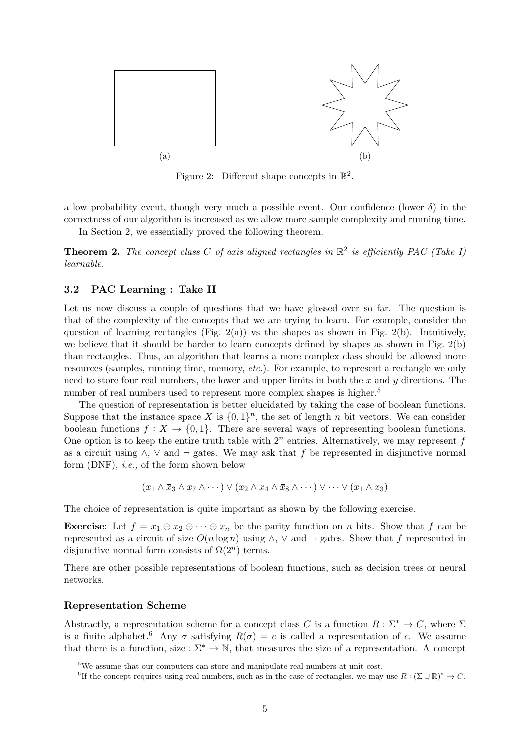

Figure 2: Different shape concepts in  $\mathbb{R}^2$ .

a low probability event, though very much a possible event. Our confidence (lower  $\delta$ ) in the correctness of our algorithm is increased as we allow more sample complexity and running time.

In Section 2, we essentially proved the following theorem.

**Theorem 2.** The concept class C of axis aligned rectangles in  $\mathbb{R}^2$  is efficiently PAC (Take I) learnable.

### 3.2 PAC Learning : Take II

Let us now discuss a couple of questions that we have glossed over so far. The question is that of the complexity of the concepts that we are trying to learn. For example, consider the question of learning rectangles (Fig. 2(a)) vs the shapes as shown in Fig. 2(b). Intuitively, we believe that it should be harder to learn concepts defined by shapes as shown in Fig. 2(b) than rectangles. Thus, an algorithm that learns a more complex class should be allowed more resources (samples, running time, memory, etc.). For example, to represent a rectangle we only need to store four real numbers, the lower and upper limits in both the  $x$  and  $y$  directions. The number of real numbers used to represent more complex shapes is higher.<sup>5</sup>

The question of representation is better elucidated by taking the case of boolean functions. Suppose that the instance space X is  $\{0,1\}^n$ , the set of length n bit vectors. We can consider boolean functions  $f: X \to \{0, 1\}$ . There are several ways of representing boolean functions. One option is to keep the entire truth table with  $2^n$  entries. Alternatively, we may represent f as a circuit using  $\wedge$ ,  $\vee$  and  $\neg$  gates. We may ask that f be represented in disjunctive normal form  $(DNF)$ , *i.e.*, of the form shown below

$$
(x_1 \wedge \overline{x}_3 \wedge x_7 \wedge \cdots) \vee (x_2 \wedge x_4 \wedge \overline{x}_8 \wedge \cdots) \vee \cdots \vee (x_1 \wedge x_3)
$$

The choice of representation is quite important as shown by the following exercise.

**Exercise:** Let  $f = x_1 \oplus x_2 \oplus \cdots \oplus x_n$  be the parity function on n bits. Show that f can be represented as a circuit of size  $O(n \log n)$  using  $\wedge$ ,  $\vee$  and  $\neg$  gates. Show that f represented in disjunctive normal form consists of  $\Omega(2^n)$  terms.

There are other possible representations of boolean functions, such as decision trees or neural networks.

#### Representation Scheme

Abstractly, a representation scheme for a concept class C is a function  $R: \Sigma^* \to C$ , where  $\Sigma$ is a finite alphabet.<sup>6</sup> Any  $\sigma$  satisfying  $R(\sigma) = c$  is called a representation of c. We assume that there is a function, size :  $\Sigma^* \to \mathbb{N}$ , that measures the size of a representation. A concept

<sup>5</sup>We assume that our computers can store and manipulate real numbers at unit cost.

<sup>&</sup>lt;sup>6</sup>If the concept requires using real numbers, such as in the case of rectangles, we may use  $R: (\Sigma \cup \mathbb{R})^* \to C$ .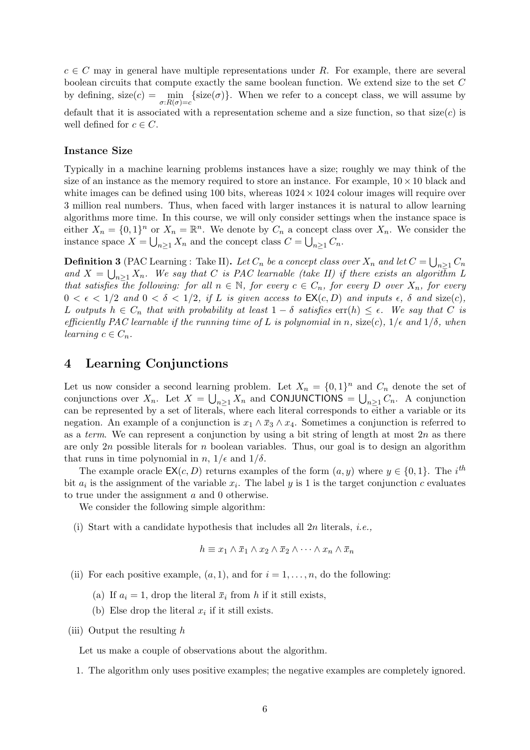$c \in C$  may in general have multiple representations under R. For example, there are several boolean circuits that compute exactly the same boolean function. We extend size to the set C by defining,  $size(c) = \min_{\sigma: R(\sigma) = c} \{size(\sigma)\}.$  When we refer to a concept class, we will assume by default that it is associated with a representation scheme and a size function, so that  $size(c)$  is well defined for  $c \in C$ .

### Instance Size

Typically in a machine learning problems instances have a size; roughly we may think of the size of an instance as the memory required to store an instance. For example,  $10 \times 10$  black and white images can be defined using 100 bits, whereas  $1024 \times 1024$  colour images will require over 3 million real numbers. Thus, when faced with larger instances it is natural to allow learning algorithms more time. In this course, we will only consider settings when the instance space is either  $X_n = \{0,1\}^n$  or  $X_n = \mathbb{R}^n$ . We denote by  $C_n$  a concept class over  $X_n$ . We consider the instance space  $X = \bigcup_{n \geq 1} X_n$  and the concept class  $C = \bigcup_{n \geq 1} C_n$ .

**Definition 3** (PAC Learning : Take II). Let  $C_n$  be a concept class over  $X_n$  and let  $C = \bigcup_{n \geq 1} C_n$ and  $X = \bigcup_{n \geq 1} X_n$ . We say that C is PAC learnable (take II) if there exists an algorithm L that satisfies the following: for all  $n \in \mathbb{N}$ , for every  $c \in C_n$ , for every D over  $X_n$ , for every  $0 < \epsilon < 1/2$  and  $0 < \delta < 1/2$ , if L is given access to  $\mathsf{EX}(c, D)$  and inputs  $\epsilon$ ,  $\delta$  and size(c), L outputs  $h \in C_n$  that with probability at least  $1 - \delta$  satisfies  $err(h) \leq \epsilon$ . We say that C is efficiently PAC learnable if the running time of L is polynomial in n, size(c),  $1/\epsilon$  and  $1/\delta$ , when learning  $c \in C_n$ .

### 4 Learning Conjunctions

Let us now consider a second learning problem. Let  $X_n = \{0,1\}^n$  and  $C_n$  denote the set of conjunctions over  $X_n$ . Let  $X = \bigcup_{n \geq 1} X_n$  and CONJUNCTIONS =  $\bigcup_{n \geq 1} C_n$ . A conjunction can be represented by a set of literals, where each literal corresponds to either a variable or its negation. An example of a conjunction is  $x_1 \wedge \overline{x}_3 \wedge x_4$ . Sometimes a conjunction is referred to as a term. We can represent a conjunction by using a bit string of length at most  $2n$  as there are only 2n possible literals for n boolean variables. Thus, our goal is to design an algorithm that runs in time polynomial in  $n$ ,  $1/\epsilon$  and  $1/\delta$ .

The example oracle  $\mathsf{EX}(c, D)$  returns examples of the form  $(a, y)$  where  $y \in \{0, 1\}$ . The i<sup>th</sup> bit  $a_i$  is the assignment of the variable  $x_i$ . The label y is 1 is the target conjunction c evaluates to true under the assignment a and 0 otherwise.

We consider the following simple algorithm:

(i) Start with a candidate hypothesis that includes all  $2n$  literals, *i.e.*,

$$
h \equiv x_1 \wedge \overline{x}_1 \wedge x_2 \wedge \overline{x}_2 \wedge \cdots \wedge x_n \wedge \overline{x}_n
$$

- (ii) For each positive example,  $(a, 1)$ , and for  $i = 1, \ldots, n$ , do the following:
	- (a) If  $a_i = 1$ , drop the literal  $\bar{x}_i$  from h if it still exists,
	- (b) Else drop the literal  $x_i$  if it still exists.
- (iii) Output the resulting  $h$

Let us make a couple of observations about the algorithm.

1. The algorithm only uses positive examples; the negative examples are completely ignored.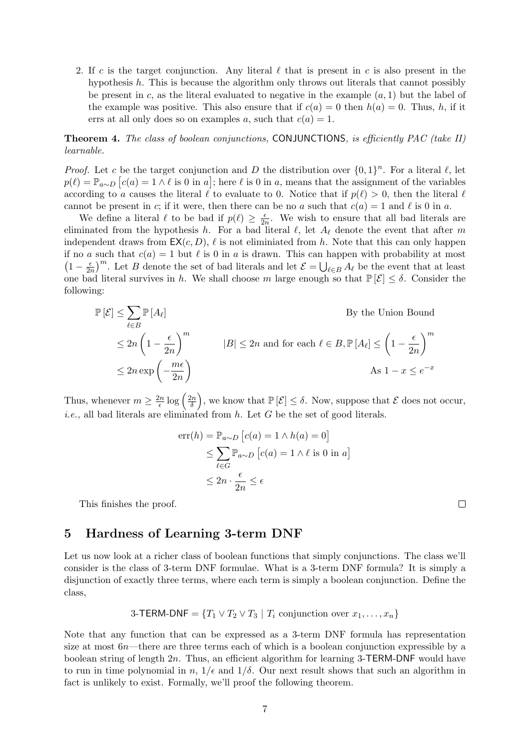2. If c is the target conjunction. Any literal  $\ell$  that is present in c is also present in the hypothesis h. This is because the algorithm only throws out literals that cannot possibly be present in  $c$ , as the literal evaluated to negative in the example  $(a, 1)$  but the label of the example was positive. This also ensure that if  $c(a) = 0$  then  $h(a) = 0$ . Thus, h, if it errs at all only does so on examples a, such that  $c(a) = 1$ .

### **Theorem 4.** The class of boolean conjunctions, CONJUNCTIONS, is efficiently PAC (take II) learnable.

*Proof.* Let c be the target conjunction and D the distribution over  $\{0,1\}^n$ . For a literal  $\ell$ , let  $p(\ell) = \mathbb{P}_{a \sim D} [c(a) = 1 \wedge \ell \text{ is 0 in } a]$ ; here  $\ell$  is 0 in a, means that the assignment of the variables according to a causes the literal  $\ell$  to evaluate to 0. Notice that if  $p(\ell) > 0$ , then the literal  $\ell$ cannot be present in c; if it were, then there can be no a such that  $c(a) = 1$  and  $\ell$  is 0 in a.

We define a literal  $\ell$  to be bad if  $p(\ell) \geq \frac{\epsilon}{2n}$  $\frac{\epsilon}{2n}$ . We wish to ensure that all bad literals are eliminated from the hypothesis h. For a bad literal  $\ell$ , let  $A_{\ell}$  denote the event that after m independent draws from  $EX(c, D)$ ,  $\ell$  is not eliminiated from h. Note that this can only happen if no a such that  $c(a) = 1$  but  $\ell$  is 0 in a is drawn. This can happen with probability at most  $\left(1-\frac{\epsilon}{2}\right)$  $\frac{\epsilon}{2n}$ <sup>m</sup>. Let B denote the set of bad literals and let  $\mathcal{E} = \bigcup_{\ell \in B} A_{\ell}$  be the event that at least one bad literal survives in h. We shall choose m large enough so that  $\mathbb{P}[\mathcal{E}] \leq \delta$ . Consider the following:

$$
\mathbb{P}[\mathcal{E}] \le \sum_{\ell \in B} \mathbb{P}[A_{\ell}]
$$
  
\n
$$
\le 2n \left(1 - \frac{\epsilon}{2n}\right)^m
$$
  
\n
$$
\le 2n \exp\left(-\frac{m\epsilon}{2n}\right)
$$
  
\n
$$
\le 2n \exp\left(-\frac{m\epsilon}{2n}\right)
$$
  
\n
$$
\text{As } 1 - x \le e^{-x}
$$

Thus, whenever  $m \geq \frac{2n}{\epsilon}$  $\frac{2n}{\epsilon} \log \left( \frac{2n}{\delta} \right)$  $\left(\frac{2n}{\delta}\right)$ , we know that  $\mathbb{P}\left[\mathcal{E}\right] \leq \delta$ . Now, suppose that  $\mathcal E$  does not occur, *i.e.*, all bad literals are eliminated from  $h$ . Let  $G$  be the set of good literals.

$$
err(h) = \mathbb{P}_{a \sim D} [c(a) = 1 \land h(a) = 0]
$$
  
\n
$$
\leq \sum_{\ell \in G} \mathbb{P}_{a \sim D} [c(a) = 1 \land \ell \text{ is 0 in } a]
$$
  
\n
$$
\leq 2n \cdot \frac{\epsilon}{2n} \leq \epsilon
$$

This finishes the proof.

### 5 Hardness of Learning 3-term DNF

Let us now look at a richer class of boolean functions that simply conjunctions. The class we'll consider is the class of 3-term DNF formulae. What is a 3-term DNF formula? It is simply a disjunction of exactly three terms, where each term is simply a boolean conjunction. Define the class,

3-TERM-DNF = 
$$
\{T_1 \vee T_2 \vee T_3 \mid T_i \text{ conjunction over } x_1, \ldots, x_n\}
$$

Note that any function that can be expressed as a 3-term DNF formula has representation size at most 6n—there are three terms each of which is a boolean conjunction expressible by a boolean string of length 2n. Thus, an efficient algorithm for learning 3-TERM-DNF would have to run in time polynomial in  $n, 1/\epsilon$  and  $1/\delta$ . Our next result shows that such an algorithm in fact is unlikely to exist. Formally, we'll proof the following theorem.

 $\Box$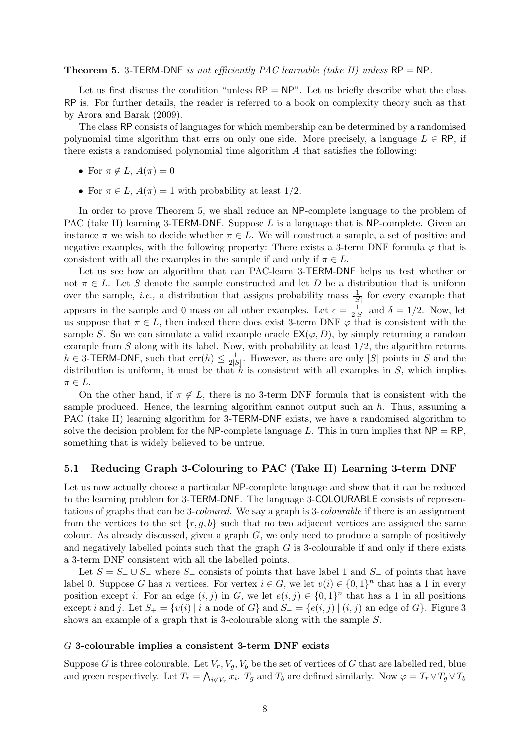#### **Theorem 5.** 3-TERM-DNF is not efficiently PAC learnable (take II) unless RP = NP.

Let us first discuss the condition "unless  $RP = NP$ ". Let us briefly describe what the class RP is. For further details, the reader is referred to a book on complexity theory such as that by Arora and Barak (2009).

The class RP consists of languages for which membership can be determined by a randomised polynomial time algorithm that errs on only one side. More precisely, a language  $L \in \mathsf{RP}$ , if there exists a randomised polynomial time algorithm A that satisfies the following:

- For  $\pi \notin L$ ,  $A(\pi) = 0$
- For  $\pi \in L$ ,  $A(\pi) = 1$  with probability at least 1/2.

In order to prove Theorem 5, we shall reduce an NP-complete language to the problem of PAC (take II) learning 3-TERM-DNF. Suppose  $L$  is a language that is NP-complete. Given an instance  $\pi$  we wish to decide whether  $\pi \in L$ . We will construct a sample, a set of positive and negative examples, with the following property: There exists a 3-term DNF formula  $\varphi$  that is consistent with all the examples in the sample if and only if  $\pi \in L$ .

Let us see how an algorithm that can PAC-learn 3-TERM-DNF helps us test whether or not  $\pi \in L$ . Let S denote the sample constructed and let D be a distribution that is uniform over the sample, *i.e.*, a distribution that assigns probability mass  $\frac{1}{|S|}$  for every example that appears in the sample and 0 mass on all other examples. Let  $\epsilon = \frac{1}{2!}$  $\frac{1}{2|S|}$  and  $\delta = 1/2$ . Now, let us suppose that  $\pi \in L$ , then indeed there does exist 3-term DNF  $\varphi$  that is consistent with the sample S. So we can simulate a valid example oracle  $EX(\varphi, D)$ , by simply returning a random example from S along with its label. Now, with probability at least  $1/2$ , the algorithm returns  $h \in 3$ -TERM-DNF, such that  $err(h) \leq \frac{1}{2h}$  $\frac{1}{2|S|}$ . However, as there are only |S| points in S and the distribution is uniform, it must be that h is consistent with all examples in  $S$ , which implies  $\pi \in L$ .

On the other hand, if  $\pi \notin L$ , there is no 3-term DNF formula that is consistent with the sample produced. Hence, the learning algorithm cannot output such an  $h$ . Thus, assuming a PAC (take II) learning algorithm for 3-TERM-DNF exists, we have a randomised algorithm to solve the decision problem for the NP-complete language L. This in turn implies that  $NP = RP$ , something that is widely believed to be untrue.

#### 5.1 Reducing Graph 3-Colouring to PAC (Take II) Learning 3-term DNF

Let us now actually choose a particular NP-complete language and show that it can be reduced to the learning problem for 3-TERM-DNF. The language 3-COLOURABLE consists of representations of graphs that can be 3-coloured. We say a graph is 3-colourable if there is an assignment from the vertices to the set  $\{r, q, b\}$  such that no two adjacent vertices are assigned the same colour. As already discussed, given a graph  $G$ , we only need to produce a sample of positively and negatively labelled points such that the graph  $G$  is 3-colourable if and only if there exists a 3-term DNF consistent with all the labelled points.

Let  $S = S_+ \cup S_-$  where  $S_+$  consists of points that have label 1 and  $S_-$  of points that have label 0. Suppose G has n vertices. For vertex  $i \in G$ , we let  $v(i) \in \{0,1\}^n$  that has a 1 in every position except *i*. For an edge  $(i, j)$  in G, we let  $e(i, j) \in \{0, 1\}^n$  that has a 1 in all positions except i and j. Let  $S_+ = \{v(i) \mid i \text{ a node of } G\}$  and  $S_- = \{e(i,j) \mid (i,j) \text{ an edge of } G\}$ . Figure 3 shows an example of a graph that is 3-colourable along with the sample S.

#### G 3-colourable implies a consistent 3-term DNF exists

Suppose G is three colourable. Let  $V_r$ ,  $V_q$ ,  $V_b$  be the set of vertices of G that are labelled red, blue and green respectively. Let  $T_r = \bigwedge_{i \notin V_r} x_i$ .  $T_g$  and  $T_b$  are defined similarly. Now  $\varphi = T_r \vee T_g \vee T_b$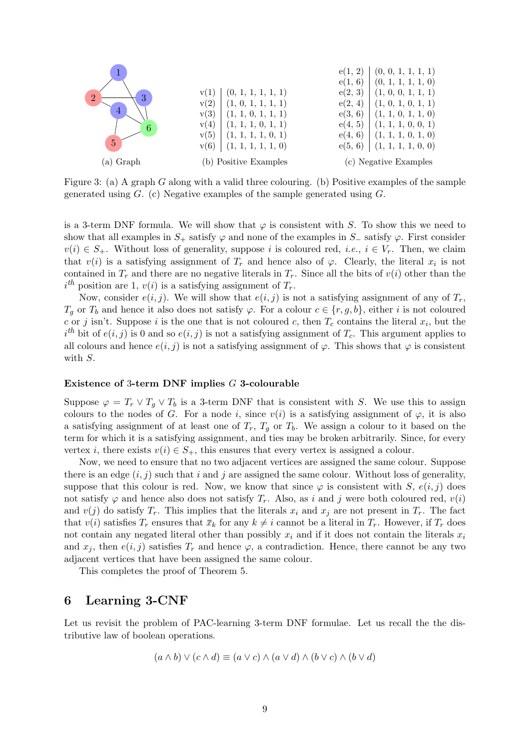

Figure 3: (a) A graph G along with a valid three colouring. (b) Positive examples of the sample generated using  $G$ . (c) Negative examples of the sample generated using  $G$ .

is a 3-term DNF formula. We will show that  $\varphi$  is consistent with S. To show this we need to show that all examples in  $S_+$  satisfy  $\varphi$  and none of the examples in  $S_-$  satisfy  $\varphi$ . First consider  $v(i) \in S_+$ . Without loss of generality, suppose i is coloured red, i.e.,  $i \in V_r$ . Then, we claim that  $v(i)$  is a satisfying assignment of  $T_r$  and hence also of  $\varphi$ . Clearly, the literal  $x_i$  is not contained in  $T_r$  and there are no negative literals in  $T_r$ . Since all the bits of  $v(i)$  other than the  $i<sup>th</sup>$  position are 1,  $v(i)$  is a satisfying assignment of  $T_r$ .

Now, consider  $e(i, j)$ . We will show that  $e(i, j)$  is not a satisfying assignment of any of  $T_r$ ,  $T_q$  or  $T_b$  and hence it also does not satisfy  $\varphi$ . For a colour  $c \in \{r, g, b\}$ , either i is not coloured c or j isn't. Suppose i is the one that is not coloured c, then  $T_c$  contains the literal  $x_i$ , but the  $i<sup>th</sup>$  bit of  $e(i, j)$  is 0 and so  $e(i, j)$  is not a satisfying assignment of  $T_c$ . This argument applies to all colours and hence  $e(i, j)$  is not a satisfying assignment of  $\varphi$ . This shows that  $\varphi$  is consistent with S.

#### Existence of 3-term DNF implies G 3-colourable

Suppose  $\varphi = T_r \vee T_g \vee T_b$  is a 3-term DNF that is consistent with S. We use this to assign colours to the nodes of G. For a node i, since  $v(i)$  is a satisfying assignment of  $\varphi$ , it is also a satisfying assignment of at least one of  $T_r$ ,  $T_g$  or  $T_b$ . We assign a colour to it based on the term for which it is a satisfying assignment, and ties may be broken arbitrarily. Since, for every vertex i, there exists  $v(i) \in S_+$ , this ensures that every vertex is assigned a colour.

Now, we need to ensure that no two adjacent vertices are assigned the same colour. Suppose there is an edge  $(i, j)$  such that i and j are assigned the same colour. Without loss of generality, suppose that this colour is red. Now, we know that since  $\varphi$  is consistent with S,  $e(i, j)$  does not satisfy  $\varphi$  and hence also does not satisfy  $T_r$ . Also, as i and j were both coloured red,  $v(i)$ and  $v(j)$  do satisfy  $T_r$ . This implies that the literals  $x_i$  and  $x_j$  are not present in  $T_r$ . The fact that  $v(i)$  satisfies  $T_r$  ensures that  $\bar{x}_k$  for any  $k \neq i$  cannot be a literal in  $T_r$ . However, if  $T_r$  does not contain any negated literal other than possibly  $x_i$  and if it does not contain the literals  $x_i$ and  $x_j$ , then  $e(i, j)$  satisfies  $T_r$  and hence  $\varphi$ , a contradiction. Hence, there cannot be any two adjacent vertices that have been assigned the same colour.

This completes the proof of Theorem 5.

### 6 Learning 3-CNF

Let us revisit the problem of PAC-learning 3-term DNF formulae. Let us recall the the distributive law of boolean operations.

$$
(a \wedge b) \vee (c \wedge d) \equiv (a \vee c) \wedge (a \vee d) \wedge (b \vee c) \wedge (b \vee d)
$$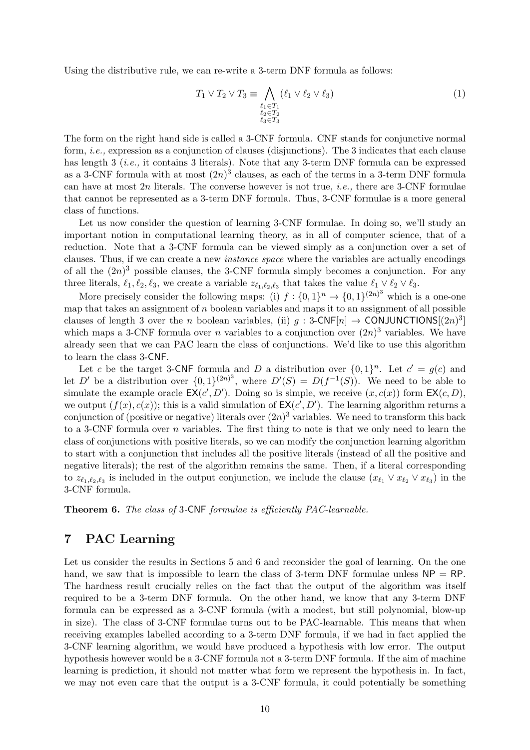Using the distributive rule, we can re-write a 3-term DNF formula as follows:

$$
T_1 \vee T_2 \vee T_3 \equiv \bigwedge_{\substack{\ell_1 \in T_1 \\ \ell_2 \in T_2 \\ \ell_3 \in T_3}} (\ell_1 \vee \ell_2 \vee \ell_3) \tag{1}
$$

The form on the right hand side is called a 3-CNF formula. CNF stands for conjunctive normal form, *i.e.*, expression as a conjunction of clauses (disjunctions). The 3 indicates that each clause has length 3 (*i.e.*, it contains 3 literals). Note that any 3-term DNF formula can be expressed as a 3-CNF formula with at most  $(2n)^3$  clauses, as each of the terms in a 3-term DNF formula can have at most  $2n$  literals. The converse however is not true, *i.e.*, there are 3-CNF formulae that cannot be represented as a 3-term DNF formula. Thus, 3-CNF formulae is a more general class of functions.

Let us now consider the question of learning 3-CNF formulae. In doing so, we'll study an important notion in computational learning theory, as in all of computer science, that of a reduction. Note that a 3-CNF formula can be viewed simply as a conjunction over a set of clauses. Thus, if we can create a new instance space where the variables are actually encodings of all the  $(2n)^3$  possible clauses, the 3-CNF formula simply becomes a conjunction. For any three literals,  $\ell_1, \ell_2, \ell_3$ , we create a variable  $z_{\ell_1,\ell_2,\ell_3}$  that takes the value  $\ell_1 \vee \ell_2 \vee \ell_3$ .

More precisely consider the following maps: (i)  $f: \{0,1\}^n \to \{0,1\}^{(2n)^3}$  which is a one-one map that takes an assignment of  $n$  boolean variables and maps it to an assignment of all possible clauses of length 3 over the *n* boolean variables, (ii)  $g : 3\text{-CNF}[n] \to \text{CONJUNCTIONS}[(2n)^3]$ which maps a 3-CNF formula over *n* variables to a conjunction over  $(2n)^3$  variables. We have already seen that we can PAC learn the class of conjunctions. We'd like to use this algorithm to learn the class 3-CNF.

Let c be the target 3-CNF formula and D a distribution over  $\{0,1\}^n$ . Let  $c' = g(c)$  and let D' be a distribution over  $\{0,1\}^{(2n)^3}$ , where  $D'(S) = D(f^{-1}(S))$ . We need to be able to simulate the example oracle  $EX(c', D')$ . Doing so is simple, we receive  $(x, c(x))$  form  $EX(c, D)$ , we output  $(f(x), c(x))$ ; this is a valid simulation of  $EX(c', D')$ . The learning algorithm returns a conjunction of (positive or negative) literals over  $(2n)^3$  variables. We need to transform this back to a 3-CNF formula over n variables. The first thing to note is that we only need to learn the class of conjunctions with positive literals, so we can modify the conjunction learning algorithm to start with a conjunction that includes all the positive literals (instead of all the positive and negative literals); the rest of the algorithm remains the same. Then, if a literal corresponding to  $z_{\ell_1,\ell_2,\ell_3}$  is included in the output conjunction, we include the clause  $(x_{\ell_1} \vee x_{\ell_2} \vee x_{\ell_3})$  in the 3-CNF formula.

Theorem 6. The class of 3-CNF formulae is efficiently PAC-learnable.

# 7 PAC Learning

Let us consider the results in Sections 5 and 6 and reconsider the goal of learning. On the one hand, we saw that is impossible to learn the class of 3-term DNF formulae unless  $NP = RP$ . The hardness result crucially relies on the fact that the output of the algorithm was itself required to be a 3-term DNF formula. On the other hand, we know that any 3-term DNF formula can be expressed as a 3-CNF formula (with a modest, but still polynomial, blow-up in size). The class of 3-CNF formulae turns out to be PAC-learnable. This means that when receiving examples labelled according to a 3-term DNF formula, if we had in fact applied the 3-CNF learning algorithm, we would have produced a hypothesis with low error. The output hypothesis however would be a 3-CNF formula not a 3-term DNF formula. If the aim of machine learning is prediction, it should not matter what form we represent the hypothesis in. In fact, we may not even care that the output is a 3-CNF formula, it could potentially be something